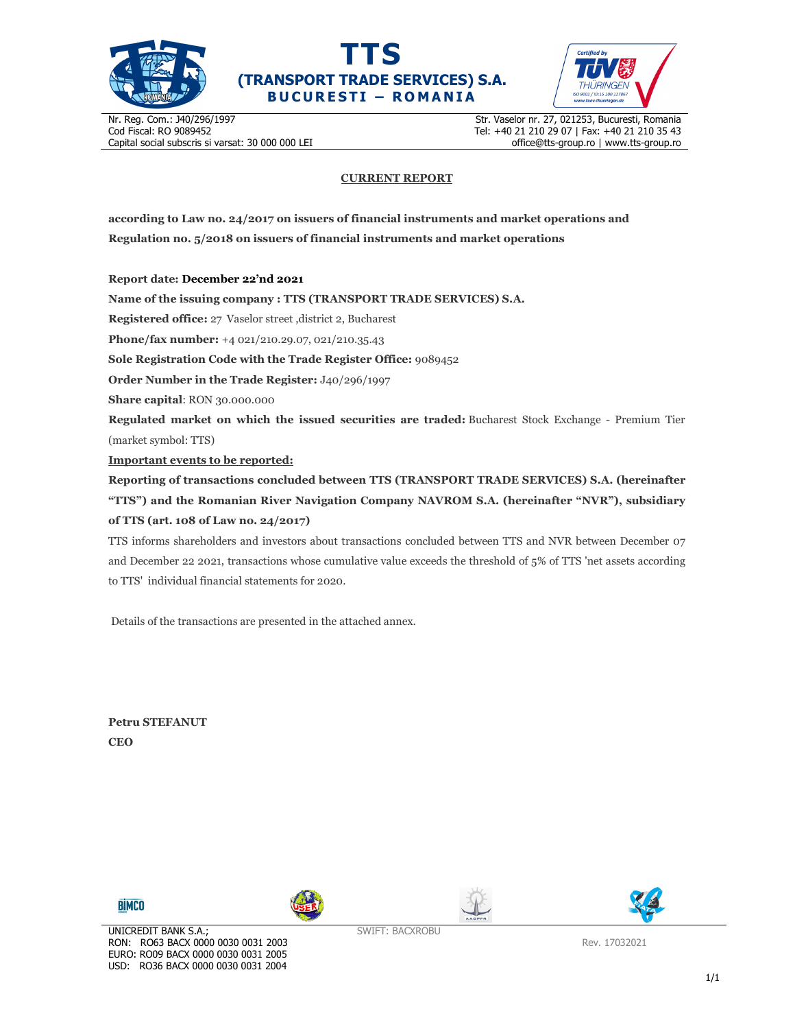





Nr. Reg. Com.: J40/296/1997 Cod Fiscal: RO 9089452 Capital social subscris si varsat: 30 000 000 LEI Str. Vaselor nr. 27, 021253, Bucuresti, Romania Tel: +40 21 210 29 07 | Fax: +40 21 210 35 43 office@tts-group.ro | www.tts-group.ro

## **CURRENT REPORT**

**according to Law no. 24/2017 on issuers of financial instruments and market operations and Regulation no. 5/2018 on issuers of financial instruments and market operations** 

**Report date: December 22'nd 2021**

**Name of the issuing company : TTS (TRANSPORT TRADE SERVICES) S.A.**

**Registered office:** 27 Vaselor street ,district 2, Bucharest

**Phone/fax number:** +4 021/210.29.07, 021/210.35.43

**Sole Registration Code with the Trade Register Office:** 9089452

**Order Number in the Trade Register:** J40/296/1997

**Share capital**: RON 30.000.000

**Regulated market on which the issued securities are traded:** Bucharest Stock Exchange - Premium Tier (market symbol: TTS)

**Important events to be reported:**

**Reporting of transactions concluded between TTS (TRANSPORT TRADE SERVICES) S.A. (hereinafter "TTS") and the Romanian River Navigation Company NAVROM S.A. (hereinafter "NVR"), subsidiary of TTS (art. 108 of Law no. 24/2017)** 

TTS informs shareholders and investors about transactions concluded between TTS and NVR between December 07 and December 22 2021, transactions whose cumulative value exceeds the threshold of 5% of TTS 'net assets according to TTS' individual financial statements for 2020.

Details of the transactions are presented in the attached annex.

**Petru STEFANUT CEO** 









SWIFT: BACXROBU

Rev. 17032021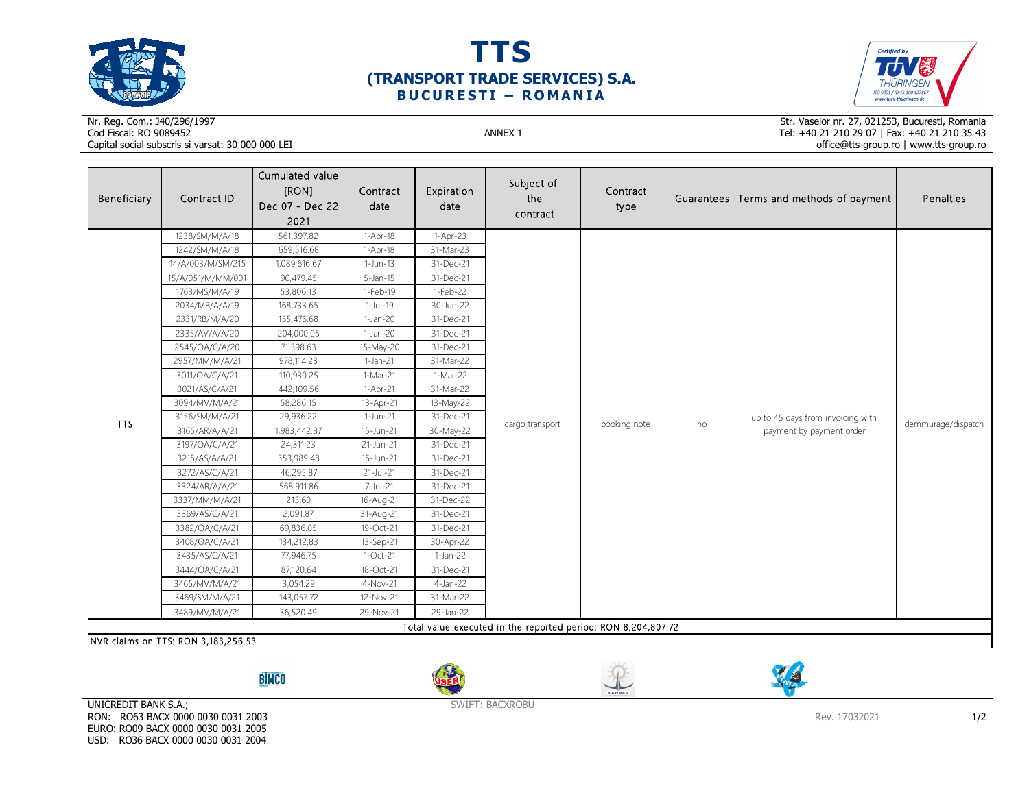





## Nr. Reg. Com.: J40/296/1997Cod Fiscal: RO 9089452 ANNEX 1 Capital social subscris si varsat: 30 000 000 LEI

Str. Vaselor nr. 27, 021253, Bucuresti, Romania Tel: +40 21 210 29 07 | Fax: +40 21 210 35 43 office@tts-group.ro | www.tts-group.ro

| Beneficiary                                                                                          | Contract ID       | Cumulated value<br>[RON]<br>Dec 07 - Dec 22<br>2021 | Contract<br>date | Expiration<br>date | Subject of<br>the<br>contract | Contract<br>type |    | Guarantees Terms and methods of payment                       | Penalties          |  |
|------------------------------------------------------------------------------------------------------|-------------------|-----------------------------------------------------|------------------|--------------------|-------------------------------|------------------|----|---------------------------------------------------------------|--------------------|--|
| <b>TTS</b>                                                                                           | 1238/SM/M/A/18    | 561,397.82                                          | 1-Apr-18         | $1-Apr-23$         |                               | booking note     | no | up to 45 days from invoicing with<br>payment by payment order | demmurage/dispatch |  |
|                                                                                                      | 1242/SM/M/A/18    | 659,516.68                                          | 1-Apr-18         | 31-Mar-23          |                               |                  |    |                                                               |                    |  |
|                                                                                                      | 14/A/003/M/SM/215 | 1,089,616.67                                        | $1-Jun-13$       | 31-Dec-21          |                               |                  |    |                                                               |                    |  |
|                                                                                                      | 15/A/051/M/MM/001 | 90,479.45                                           | $5$ -Jan-15      | 31-Dec-21          |                               |                  |    |                                                               |                    |  |
|                                                                                                      | 1763/MS/M/A/19    | 53,806.13                                           | 1-Feb-19         | 1-Feb-22           |                               |                  |    |                                                               |                    |  |
|                                                                                                      | 2034/MB/A/A/19    | 168,733.65                                          | $1-Jul-19$       | 30-Jun-22          |                               |                  |    |                                                               |                    |  |
|                                                                                                      | 2331/RB/M/A/20    | 155,476.68                                          | $1-Jan-20$       | 31-Dec-21          |                               |                  |    |                                                               |                    |  |
|                                                                                                      | 2335/AV/A/A/20    | 204,000.05                                          | $1-Jan-20$       | 31-Dec-21          |                               |                  |    |                                                               |                    |  |
|                                                                                                      | 2545/OA/C/A/20    | 71,398.63                                           | 15-May-20        | 31-Dec-21          |                               |                  |    |                                                               |                    |  |
|                                                                                                      | 2957/MM/M/A/21    | 978,114.23                                          | $1-Jan-21$       | 31-Mar-22          |                               |                  |    |                                                               |                    |  |
|                                                                                                      | 3011/OA/C/A/21    | 110,930.25                                          | 1-Mar-21         | 1-Mar-22           |                               |                  |    |                                                               |                    |  |
|                                                                                                      | 3021/AS/C/A/21    | 442,109.56                                          | 1-Apr-21         | 31-Mar-22          | cargo transport               |                  |    |                                                               |                    |  |
|                                                                                                      | 3094/MV/M/A/21    | 58,286.15                                           | 13-Apr-21        | 13-May-22          |                               |                  |    |                                                               |                    |  |
|                                                                                                      | 3156/SM/M/A/21    | 29,936.22                                           | 1-Jun-21         | 31-Dec-21          |                               |                  |    |                                                               |                    |  |
|                                                                                                      | 3165/AR/A/A/21    | 1,983,442.87                                        | 15-Jun-21        | 30-May-22          |                               |                  |    |                                                               |                    |  |
|                                                                                                      | 3197/OA/C/A/21    | 24,311.23                                           | 21-Jun-21        | 31-Dec-21          |                               |                  |    |                                                               |                    |  |
|                                                                                                      | 3215/AS/A/A/21    | 353,989.48                                          | 15-Jun-21        | 31-Dec-21          |                               |                  |    |                                                               |                    |  |
|                                                                                                      | 3272/AS/C/A/21    | 46,295.87                                           | $21-Jul-21$      | 31-Dec-21          |                               |                  |    |                                                               |                    |  |
|                                                                                                      | 3324/AR/A/A/21    | 568,911.86                                          | 7-Jul-21         | 31-Dec-21          |                               |                  |    |                                                               |                    |  |
|                                                                                                      | 3337/MM/M/A/21    | 213.60                                              | 16-Aug-21        | 31-Dec-22          |                               |                  |    |                                                               |                    |  |
|                                                                                                      | 3369/AS/C/A/21    | 2,091.87                                            | 31-Aug-21        | 31-Dec-21          |                               |                  |    |                                                               |                    |  |
|                                                                                                      | 3382/OA/C/A/21    | 69,836.05                                           | 19-Oct-21        | 31-Dec-21          |                               |                  |    |                                                               |                    |  |
|                                                                                                      | 3408/OA/C/A/21    | 134,212.83                                          | 13-Sep-21        | 30-Apr-22          |                               |                  |    |                                                               |                    |  |
|                                                                                                      | 3435/AS/C/A/21    | 77,946.75                                           | $1-Oct-21$       | $1-Jan-22$         |                               |                  |    |                                                               |                    |  |
|                                                                                                      | 3444/OA/C/A/21    | 87,120.64                                           | 18-Oct-21        | 31-Dec-21          |                               |                  |    |                                                               |                    |  |
|                                                                                                      | 3465/MV/M/A/21    | 3,054.29                                            | 4-Nov-21         | 4-Jan-22           |                               |                  |    |                                                               |                    |  |
|                                                                                                      | 3469/SM/M/A/21    | 143,057.72                                          | 12-Nov-21        | 31-Mar-22          |                               |                  |    |                                                               |                    |  |
|                                                                                                      | 3489/MV/M/A/21    | 36,520.49                                           | 29-Nov-21        | 29-Jan-22          |                               |                  |    |                                                               |                    |  |
| Total value executed in the reported period: RON 8,204,807.72<br>NVR claims on TTS: RON 3,183,256.53 |                   |                                                     |                  |                    |                               |                  |    |                                                               |                    |  |

**BİMCO** 







UNICREDIT BANK S.A.; RON: RO63 BACX 0000 0030 0031 2003 EURO: RO09 BACX 0000 0030 0031 2005 USD: RO36 BACX 0000 0030 0031 2004

SWIFT: BACXROBU